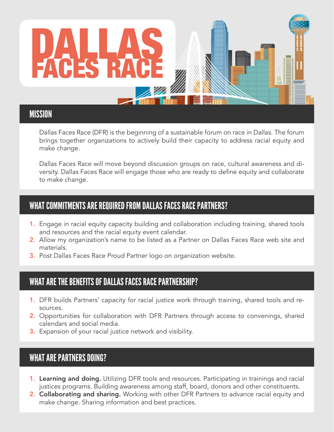

Dallas Faces Race (DFR) is the beginning of a sustainable forum on race in Dallas. The forum brings together organizations to actively build their capacity to address racial equity and make change.

Dallas Faces Race will move beyond discussion groups on race, cultural awareness and diversity. Dallas Faces Race will engage those who are ready to define equity and collaborate to make change.

# WHAT COMMITMENTS ARE REQUIRED FROM DALLAS FACES RACE PARTNERS?

- 1. Engage in racial equity capacity building and collaboration including training, shared tools and resources and the racial equity event calendar.
- 2. Allow my organization's name to be listed as a Partner on Dallas Faces Race web site and materials.
- 3. Post Dallas Faces Race Proud Partner logo on organization website.

# WHAT ARE THE BENEFITS OF DALLAS FACES RACE PARTNERSHIP?

- 1. DFR builds Partners' capacity for racial justice work through training, shared tools and resources.
- 2. Opportunities for collaboration with DFR Partners through access to convenings, shared calendars and social media.
- **3.** Expansion of your racial justice network and visibility.

# WHAT ARE PARTNERS DOING?

- **1. Learning and doing.** Utilizing DFR tools and resources. Participating in trainings and racial justices programs. Building awareness among staff, board, donors and other constituents.
- 2. Collaborating and sharing. Working with other DFR Partners to advance racial equity and make change. Sharing information and best practices.